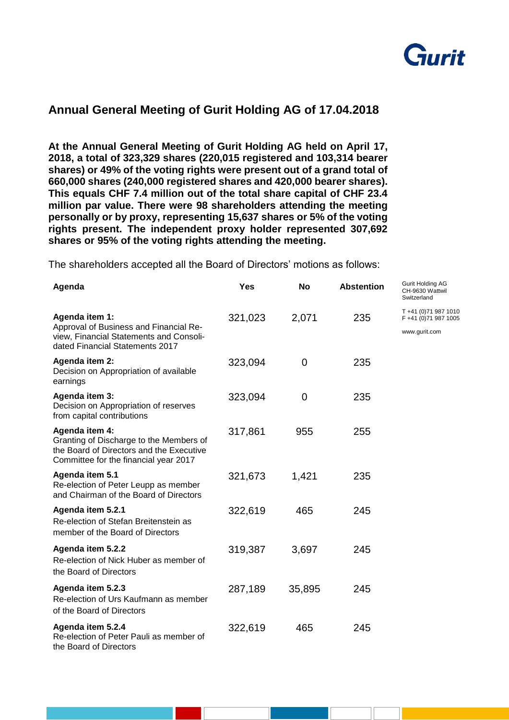

## **Annual General Meeting of Gurit Holding AG of 17.04.2018**

**At the Annual General Meeting of Gurit Holding AG held on April 17, 2018, a total of 323,329 shares (220,015 registered and 103,314 bearer shares) or 49% of the voting rights were present out of a grand total of 660,000 shares (240,000 registered shares and 420,000 bearer shares). This equals CHF 7.4 million out of the total share capital of CHF 23.4 million par value. There were 98 shareholders attending the meeting personally or by proxy, representing 15,637 shares or 5% of the voting rights present. The independent proxy holder represented 307,692 shares or 95% of the voting rights attending the meeting.** 

The shareholders accepted all the Board of Directors' motions as follows:

| Agenda                                                                                                                                         | <b>Yes</b> | <b>No</b> | <b>Abstention</b> | <b>Gurit Holding AG</b><br>CH-9630 Wattwil<br>Switzerland      |
|------------------------------------------------------------------------------------------------------------------------------------------------|------------|-----------|-------------------|----------------------------------------------------------------|
| Agenda item 1:<br>Approval of Business and Financial Re-<br>view, Financial Statements and Consoli-<br>dated Financial Statements 2017         | 321,023    | 2,071     | 235               | T +41 (0) 71 987 1010<br>F +41 (0)71 987 1005<br>www.gurit.com |
| Agenda item 2:<br>Decision on Appropriation of available<br>earnings                                                                           | 323,094    | 0         | 235               |                                                                |
| Agenda item 3:<br>Decision on Appropriation of reserves<br>from capital contributions                                                          | 323,094    | 0         | 235               |                                                                |
| Agenda item 4:<br>Granting of Discharge to the Members of<br>the Board of Directors and the Executive<br>Committee for the financial year 2017 | 317,861    | 955       | 255               |                                                                |
| Agenda item 5.1<br>Re-election of Peter Leupp as member<br>and Chairman of the Board of Directors                                              | 321,673    | 1,421     | 235               |                                                                |
| Agenda item 5.2.1<br>Re-election of Stefan Breitenstein as<br>member of the Board of Directors                                                 | 322,619    | 465       | 245               |                                                                |
| Agenda item 5.2.2<br>Re-election of Nick Huber as member of<br>the Board of Directors                                                          | 319,387    | 3,697     | 245               |                                                                |
| Agenda item 5.2.3<br>Re-election of Urs Kaufmann as member<br>of the Board of Directors                                                        | 287,189    | 35,895    | 245               |                                                                |
| Agenda item 5.2.4<br>Re-election of Peter Pauli as member of<br>the Board of Directors                                                         | 322,619    | 465       | 245               |                                                                |